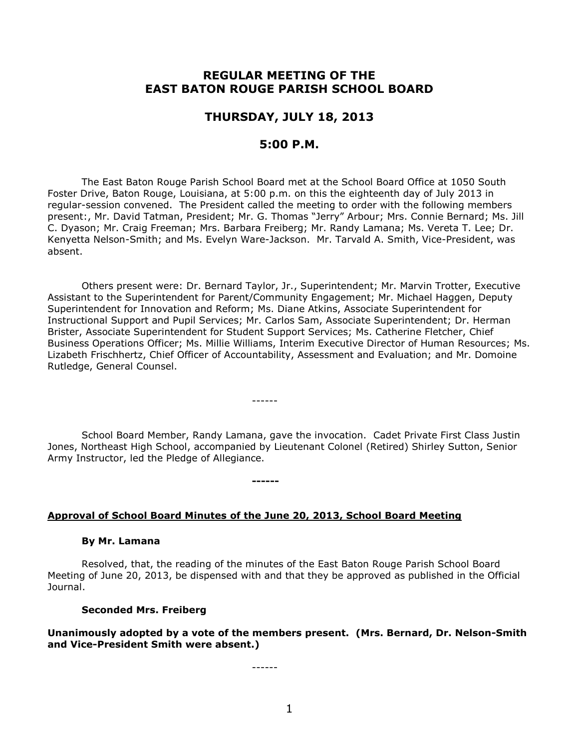# **REGULAR MEETING OF THE EAST BATON ROUGE PARISH SCHOOL BOARD**

## **THURSDAY, JULY 18, 2013**

# **5:00 P.M.**

The East Baton Rouge Parish School Board met at the School Board Office at 1050 South Foster Drive, Baton Rouge, Louisiana, at 5:00 p.m. on this the eighteenth day of July 2013 in regular-session convened. The President called the meeting to order with the following members present:, Mr. David Tatman, President; Mr. G. Thomas "Jerry" Arbour; Mrs. Connie Bernard; Ms. Jill C. Dyason; Mr. Craig Freeman; Mrs. Barbara Freiberg; Mr. Randy Lamana; Ms. Vereta T. Lee; Dr. Kenyetta Nelson-Smith; and Ms. Evelyn Ware-Jackson. Mr. Tarvald A. Smith, Vice-President, was absent.

Others present were: Dr. Bernard Taylor, Jr., Superintendent; Mr. Marvin Trotter, Executive Assistant to the Superintendent for Parent/Community Engagement; Mr. Michael Haggen, Deputy Superintendent for Innovation and Reform; Ms. Diane Atkins, Associate Superintendent for Instructional Support and Pupil Services; Mr. Carlos Sam, Associate Superintendent; Dr. Herman Brister, Associate Superintendent for Student Support Services; Ms. Catherine Fletcher, Chief Business Operations Officer; Ms. Millie Williams, Interim Executive Director of Human Resources; Ms. Lizabeth Frischhertz, Chief Officer of Accountability, Assessment and Evaluation; and Mr. Domoine Rutledge, General Counsel.

School Board Member, Randy Lamana, gave the invocation. Cadet Private First Class Justin Jones, Northeast High School, accompanied by Lieutenant Colonel (Retired) Shirley Sutton, Senior Army Instructor, led the Pledge of Allegiance.

------

**------**

#### **Approval of School Board Minutes of the June 20, 2013, School Board Meeting**

#### **By Mr. Lamana**

Resolved, that, the reading of the minutes of the East Baton Rouge Parish School Board Meeting of June 20, 2013, be dispensed with and that they be approved as published in the Official Journal.

#### **Seconded Mrs. Freiberg**

**Unanimously adopted by a vote of the members present. (Mrs. Bernard, Dr. Nelson-Smith and Vice-President Smith were absent.)**

------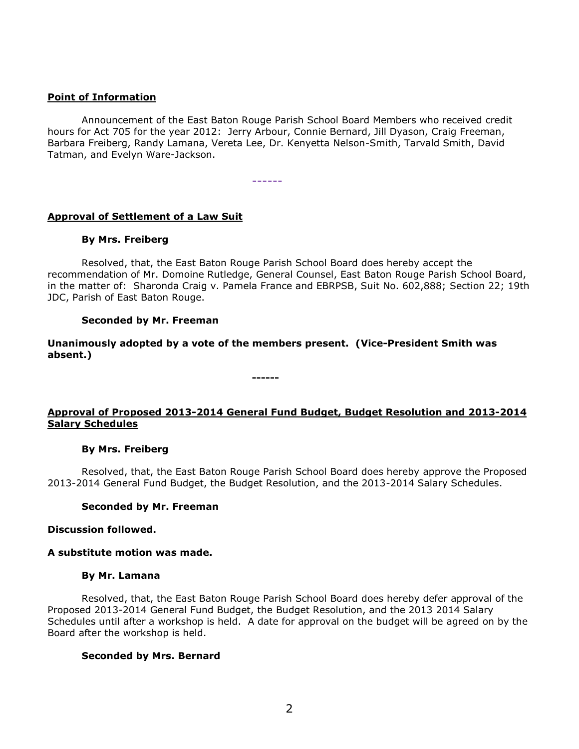## **Point of Information**

Announcement of the East Baton Rouge Parish School Board Members who received credit hours for Act 705 for the year 2012: Jerry Arbour, Connie Bernard, Jill Dyason, Craig Freeman, Barbara Freiberg, Randy Lamana, Vereta Lee, Dr. Kenyetta Nelson-Smith, Tarvald Smith, David Tatman, and Evelyn Ware-Jackson.

------

## **Approval of Settlement of a Law Suit**

#### **By Mrs. Freiberg**

Resolved, that, the East Baton Rouge Parish School Board does hereby accept the recommendation of Mr. Domoine Rutledge, General Counsel, East Baton Rouge Parish School Board, in the matter of: Sharonda Craig v. Pamela France and EBRPSB, Suit No. 602,888; Section 22; 19th JDC, Parish of East Baton Rouge.

### **Seconded by Mr. Freeman**

**Unanimously adopted by a vote of the members present. (Vice-President Smith was absent.)**

**------**

## **Approval of Proposed 2013-2014 General Fund Budget, Budget Resolution and 2013-2014 Salary Schedules**

#### **By Mrs. Freiberg**

Resolved, that, the East Baton Rouge Parish School Board does hereby approve the Proposed 2013-2014 General Fund Budget, the Budget Resolution, and the 2013-2014 Salary Schedules.

#### **Seconded by Mr. Freeman**

#### **Discussion followed.**

#### **A substitute motion was made.**

#### **By Mr. Lamana**

Resolved, that, the East Baton Rouge Parish School Board does hereby defer approval of the Proposed 2013-2014 General Fund Budget, the Budget Resolution, and the 2013 2014 Salary Schedules until after a workshop is held. A date for approval on the budget will be agreed on by the Board after the workshop is held.

#### **Seconded by Mrs. Bernard**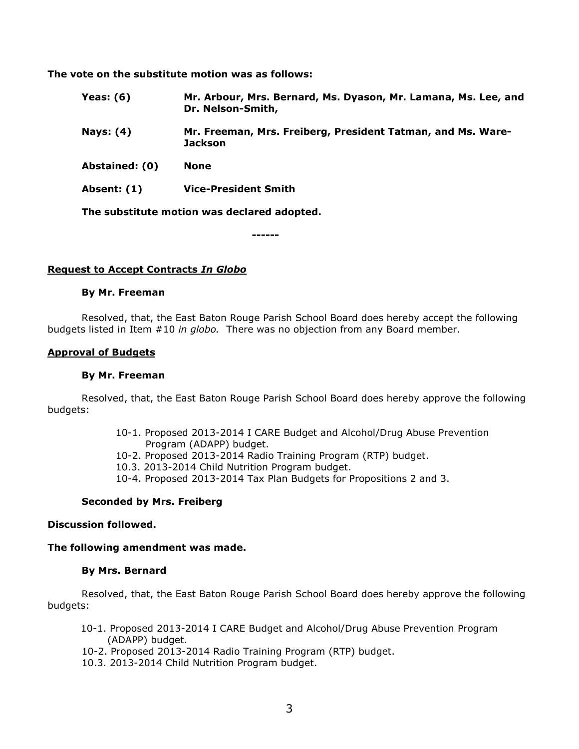**The vote on the substitute motion was as follows:**

- **Yeas: (6) Mr. Arbour, Mrs. Bernard, Ms. Dyason, Mr. Lamana, Ms. Lee, and Dr. Nelson-Smith,**
- **Nays: (4) Mr. Freeman, Mrs. Freiberg, President Tatman, and Ms. Ware-Jackson**
- **Abstained: (0) None**
- **Absent: (1) Vice-President Smith**

**The substitute motion was declared adopted.**

**------**

## **Request to Accept Contracts** *In Globo*

#### **By Mr. Freeman**

Resolved, that, the East Baton Rouge Parish School Board does hereby accept the following budgets listed in Item #10 *in globo.* There was no objection from any Board member.

#### **Approval of Budgets**

#### **By Mr. Freeman**

Resolved, that, the East Baton Rouge Parish School Board does hereby approve the following budgets:

- 10-1. Proposed 2013-2014 I CARE Budget and Alcohol/Drug Abuse Prevention Program (ADAPP) budget.
- 10-2. Proposed 2013-2014 Radio Training Program (RTP) budget.
- 10.3. 2013-2014 Child Nutrition Program budget.
- 10-4. Proposed 2013-2014 Tax Plan Budgets for Propositions 2 and 3.

## **Seconded by Mrs. Freiberg**

#### **Discussion followed.**

## **The following amendment was made.**

#### **By Mrs. Bernard**

Resolved, that, the East Baton Rouge Parish School Board does hereby approve the following budgets:

- 10-1. Proposed 2013-2014 I CARE Budget and Alcohol/Drug Abuse Prevention Program (ADAPP) budget.
- 10-2. Proposed 2013-2014 Radio Training Program (RTP) budget.
- 10.3. 2013-2014 Child Nutrition Program budget.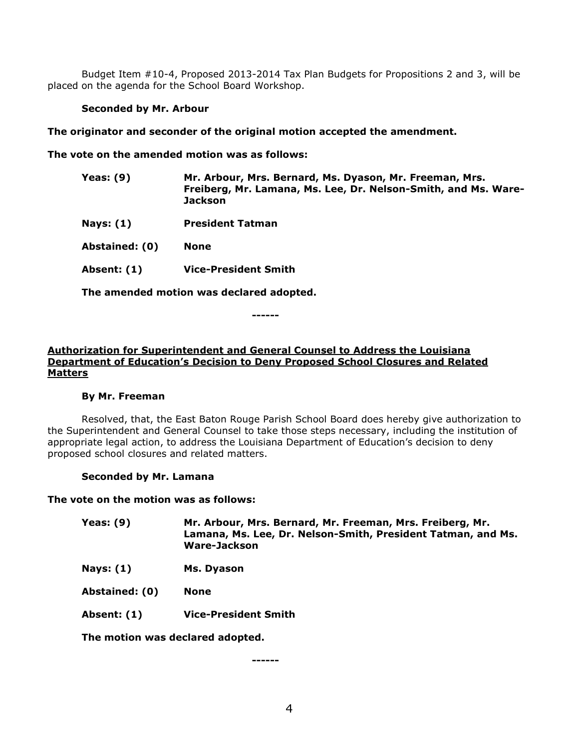Budget Item #10-4, Proposed 2013-2014 Tax Plan Budgets for Propositions 2 and 3, will be placed on the agenda for the School Board Workshop.

## **Seconded by Mr. Arbour**

**The originator and seconder of the original motion accepted the amendment.**

**The vote on the amended motion was as follows:**

| <b>Yeas: (9)</b> | Mr. Arbour, Mrs. Bernard, Ms. Dyason, Mr. Freeman, Mrs.<br>Freiberg, Mr. Lamana, Ms. Lee, Dr. Nelson-Smith, and Ms. Ware-<br><b>Jackson</b> |
|------------------|---------------------------------------------------------------------------------------------------------------------------------------------|
| Nays: (1)        | <b>President Tatman</b>                                                                                                                     |
| Abstained: (0)   | <b>None</b>                                                                                                                                 |
| Absent: (1)      | <b>Vice-President Smith</b>                                                                                                                 |
|                  |                                                                                                                                             |

**The amended motion was declared adopted.**

**------**

# **Authorization for Superintendent and General Counsel to Address the Louisiana Department of Education's Decision to Deny Proposed School Closures and Related Matters**

## **By Mr. Freeman**

Resolved, that, the East Baton Rouge Parish School Board does hereby give authorization to the Superintendent and General Counsel to take those steps necessary, including the institution of appropriate legal action, to address the Louisiana Department of Education's decision to deny proposed school closures and related matters.

## **Seconded by Mr. Lamana**

**The vote on the motion was as follows:**

| <b>Yeas: (9)</b> | Mr. Arbour, Mrs. Bernard, Mr. Freeman, Mrs. Freiberg, Mr.    |
|------------------|--------------------------------------------------------------|
|                  | Lamana, Ms. Lee, Dr. Nelson-Smith, President Tatman, and Ms. |
|                  | Ware-Jackson                                                 |

**Nays: (1) Ms. Dyason**

**Abstained: (0) None**

**Absent: (1) Vice-President Smith** 

**The motion was declared adopted.**

**------**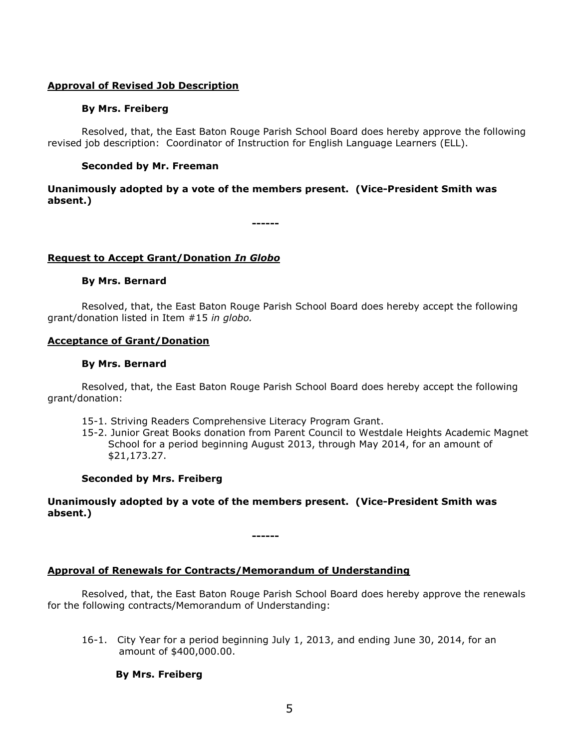## **Approval of Revised Job Description**

## **By Mrs. Freiberg**

Resolved, that, the East Baton Rouge Parish School Board does hereby approve the following revised job description: Coordinator of Instruction for English Language Learners (ELL).

# **Seconded by Mr. Freeman**

## **Unanimously adopted by a vote of the members present. (Vice-President Smith was absent.)**

**------**

## **Request to Accept Grant/Donation** *In Globo*

# **By Mrs. Bernard**

Resolved, that, the East Baton Rouge Parish School Board does hereby accept the following grant/donation listed in Item #15 *in globo.* 

## **Acceptance of Grant/Donation**

### **By Mrs. Bernard**

Resolved, that, the East Baton Rouge Parish School Board does hereby accept the following grant/donation:

- 15-1. Striving Readers Comprehensive Literacy Program Grant.
- 15-2. Junior Great Books donation from Parent Council to Westdale Heights Academic Magnet School for a period beginning August 2013, through May 2014, for an amount of \$21,173.27.

## **Seconded by Mrs. Freiberg**

**Unanimously adopted by a vote of the members present. (Vice-President Smith was absent.)**

**------**

## **Approval of Renewals for Contracts/Memorandum of Understanding**

Resolved, that, the East Baton Rouge Parish School Board does hereby approve the renewals for the following contracts/Memorandum of Understanding:

16-1. City Year for a period beginning July 1, 2013, and ending June 30, 2014, for an amount of \$400,000.00.

## **By Mrs. Freiberg**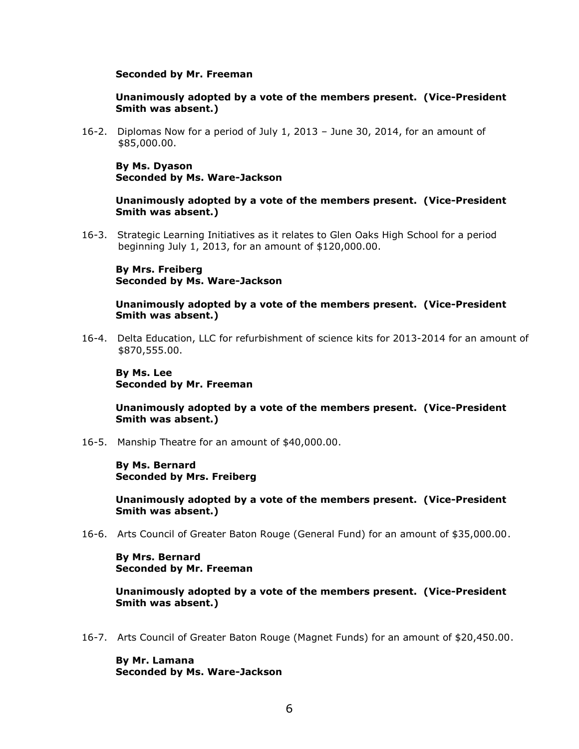#### **Seconded by Mr. Freeman**

## **Unanimously adopted by a vote of the members present. (Vice-President Smith was absent.)**

16-2. Diplomas Now for a period of July 1, 2013 – June 30, 2014, for an amount of \$85,000.00.

**By Ms. Dyason Seconded by Ms. Ware-Jackson**

**Unanimously adopted by a vote of the members present. (Vice-President Smith was absent.)**

16-3. Strategic Learning Initiatives as it relates to Glen Oaks High School for a period beginning July 1, 2013, for an amount of \$120,000.00.

### **By Mrs. Freiberg Seconded by Ms. Ware-Jackson**

#### **Unanimously adopted by a vote of the members present. (Vice-President Smith was absent.)**

16-4. Delta Education, LLC for refurbishment of science kits for 2013-2014 for an amount of \$870,555.00.

**By Ms. Lee Seconded by Mr. Freeman**

**Unanimously adopted by a vote of the members present. (Vice-President Smith was absent.)**

16-5. Manship Theatre for an amount of \$40,000.00.

**By Ms. Bernard Seconded by Mrs. Freiberg**

**Unanimously adopted by a vote of the members present. (Vice-President Smith was absent.)**

16-6. Arts Council of Greater Baton Rouge (General Fund) for an amount of \$35,000.00.

**By Mrs. Bernard Seconded by Mr. Freeman**

**Unanimously adopted by a vote of the members present. (Vice-President Smith was absent.)**

16-7. Arts Council of Greater Baton Rouge (Magnet Funds) for an amount of \$20,450.00.

**By Mr. Lamana Seconded by Ms. Ware-Jackson**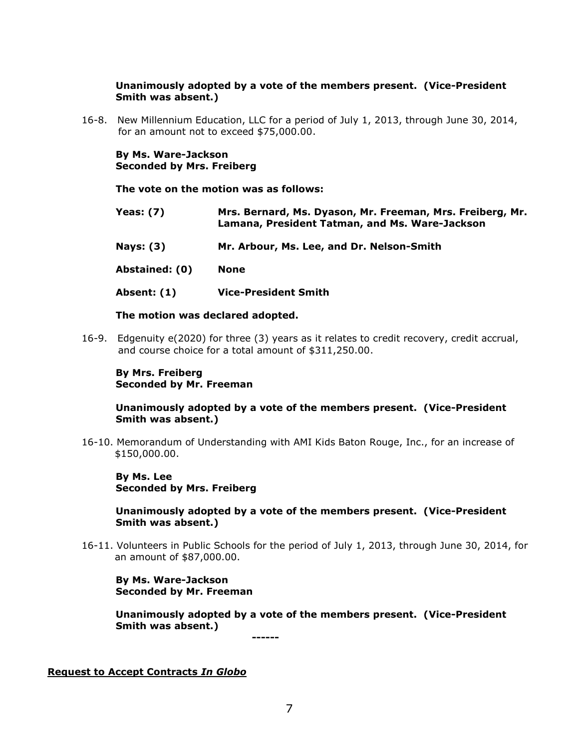## **Unanimously adopted by a vote of the members present. (Vice-President Smith was absent.)**

16-8. New Millennium Education, LLC for a period of July 1, 2013, through June 30, 2014, for an amount not to exceed \$75,000.00.

**By Ms. Ware-Jackson Seconded by Mrs. Freiberg**

**The vote on the motion was as follows:**

- **Yeas: (7) Mrs. Bernard, Ms. Dyason, Mr. Freeman, Mrs. Freiberg, Mr. Lamana, President Tatman, and Ms. Ware-Jackson**
- **Nays: (3) Mr. Arbour, Ms. Lee, and Dr. Nelson-Smith**

**Abstained: (0) None**

**Absent: (1) Vice-President Smith** 

### **The motion was declared adopted.**

16-9. Edgenuity e(2020) for three (3) years as it relates to credit recovery, credit accrual, and course choice for a total amount of \$311,250.00.

**By Mrs. Freiberg Seconded by Mr. Freeman**

**Unanimously adopted by a vote of the members present. (Vice-President Smith was absent.)**

16-10. Memorandum of Understanding with AMI Kids Baton Rouge, Inc., for an increase of \$150,000.00.

**By Ms. Lee Seconded by Mrs. Freiberg**

**Unanimously adopted by a vote of the members present. (Vice-President Smith was absent.)**

16-11. Volunteers in Public Schools for the period of July 1, 2013, through June 30, 2014, for an amount of \$87,000.00.

**By Ms. Ware-Jackson Seconded by Mr. Freeman**

**Unanimously adopted by a vote of the members present. (Vice-President Smith was absent.)**

**------**

**Request to Accept Contracts** *In Globo*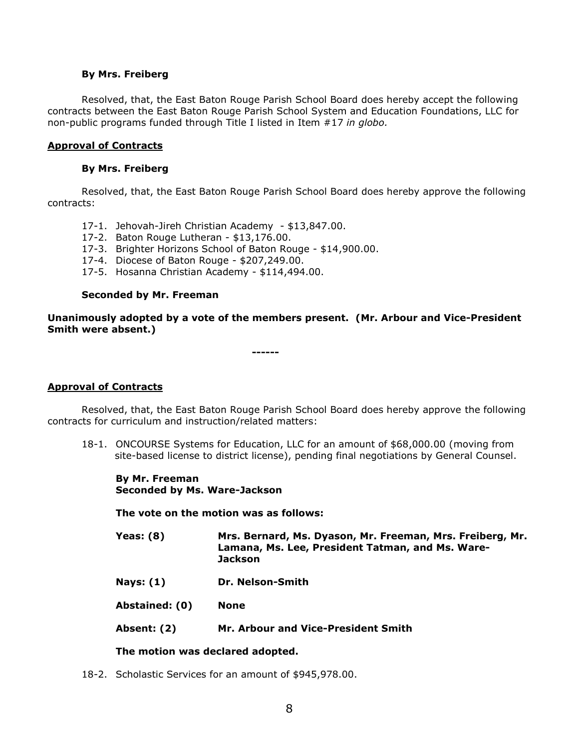### **By Mrs. Freiberg**

Resolved, that, the East Baton Rouge Parish School Board does hereby accept the following contracts between the East Baton Rouge Parish School System and Education Foundations, LLC for non-public programs funded through Title I listed in Item #17 *in globo.* 

## **Approval of Contracts**

## **By Mrs. Freiberg**

Resolved, that, the East Baton Rouge Parish School Board does hereby approve the following contracts:

- 17-1. Jehovah-Jireh Christian Academy \$13,847.00.
- 17-2. Baton Rouge Lutheran \$13,176.00.
- 17-3. Brighter Horizons School of Baton Rouge \$14,900.00.
- 17-4. Diocese of Baton Rouge \$207,249.00.
- 17-5. Hosanna Christian Academy \$114,494.00.

### **Seconded by Mr. Freeman**

**Unanimously adopted by a vote of the members present. (Mr. Arbour and Vice-President Smith were absent.)**

**------**

## **Approval of Contracts**

Resolved, that, the East Baton Rouge Parish School Board does hereby approve the following contracts for curriculum and instruction/related matters:

18-1. ONCOURSE Systems for Education, LLC for an amount of \$68,000.00 (moving from site-based license to district license), pending final negotiations by General Counsel.

**By Mr. Freeman Seconded by Ms. Ware-Jackson**

**The vote on the motion was as follows:**

- **Yeas: (8) Mrs. Bernard, Ms. Dyason, Mr. Freeman, Mrs. Freiberg, Mr. Lamana, Ms. Lee, President Tatman, and Ms. Ware-Jackson**
- **Nays: (1) Dr. Nelson-Smith**

**Abstained: (0) None**

**Absent: (2) Mr. Arbour and Vice-President Smith** 

## **The motion was declared adopted.**

18-2. Scholastic Services for an amount of \$945,978.00.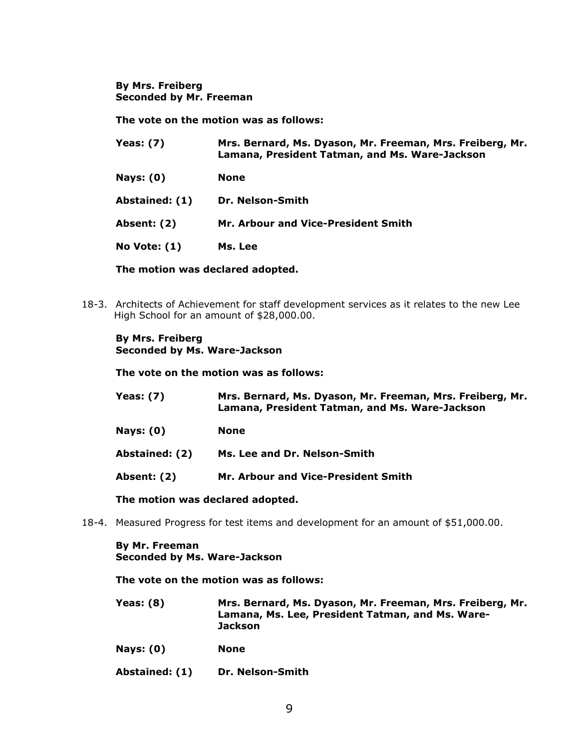**By Mrs. Freiberg Seconded by Mr. Freeman**

**The vote on the motion was as follows:**

| <b>Yeas: (7)</b>    | Mrs. Bernard, Ms. Dyason, Mr. Freeman, Mrs. Freiberg, Mr.<br>Lamana, President Tatman, and Ms. Ware-Jackson |
|---------------------|-------------------------------------------------------------------------------------------------------------|
| <b>Nays: (0)</b>    | None                                                                                                        |
| Abstained: (1)      | Dr. Nelson-Smith                                                                                            |
| Absent: (2)         | Mr. Arbour and Vice-President Smith                                                                         |
| <b>No Vote: (1)</b> | Ms. Lee                                                                                                     |

**The motion was declared adopted.**

18-3. Architects of Achievement for staff development services as it relates to the new Lee High School for an amount of \$28,000.00.

#### **By Mrs. Freiberg Seconded by Ms. Ware-Jackson**

**The vote on the motion was as follows:**

| Yeas: $(7)$    | Mrs. Bernard, Ms. Dyason, Mr. Freeman, Mrs. Freiberg, Mr.<br>Lamana, President Tatman, and Ms. Ware-Jackson |
|----------------|-------------------------------------------------------------------------------------------------------------|
| Nays: $(0)$    | None                                                                                                        |
| Abstained: (2) | Ms. Lee and Dr. Nelson-Smith                                                                                |
| Absent: (2)    | Mr. Arbour and Vice-President Smith                                                                         |

**The motion was declared adopted.**

18-4. Measured Progress for test items and development for an amount of \$51,000.00.

**By Mr. Freeman Seconded by Ms. Ware-Jackson**

**The vote on the motion was as follows:**

- **Yeas: (8) Mrs. Bernard, Ms. Dyason, Mr. Freeman, Mrs. Freiberg, Mr. Lamana, Ms. Lee, President Tatman, and Ms. Ware-Jackson**
- **Nays: (0) None**
- **Abstained: (1) Dr. Nelson-Smith**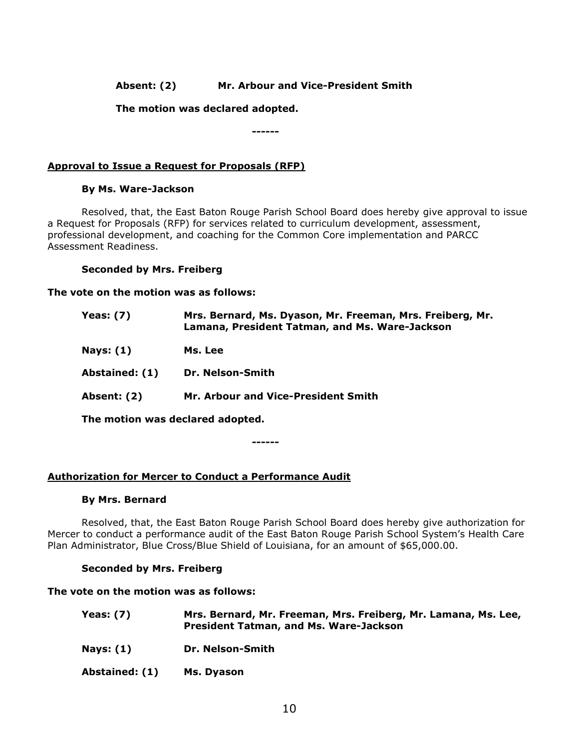# **Absent: (2) Mr. Arbour and Vice-President Smith**

## **The motion was declared adopted.**

**------**

# **Approval to Issue a Request for Proposals (RFP)**

## **By Ms. Ware-Jackson**

Resolved, that, the East Baton Rouge Parish School Board does hereby give approval to issue a Request for Proposals (RFP) for services related to curriculum development, assessment, professional development, and coaching for the Common Core implementation and PARCC Assessment Readiness.

### **Seconded by Mrs. Freiberg**

### **The vote on the motion was as follows:**

| Yeas: $(7)$                      | Mrs. Bernard, Ms. Dyason, Mr. Freeman, Mrs. Freiberg, Mr.<br>Lamana, President Tatman, and Ms. Ware-Jackson |
|----------------------------------|-------------------------------------------------------------------------------------------------------------|
| Nays: $(1)$                      | Ms. Lee                                                                                                     |
| Abstained: (1)                   | Dr. Nelson-Smith                                                                                            |
| Absent: (2)                      | Mr. Arbour and Vice-President Smith                                                                         |
| The motion was declared adopted. |                                                                                                             |

**------**

## **Authorization for Mercer to Conduct a Performance Audit**

#### **By Mrs. Bernard**

Resolved, that, the East Baton Rouge Parish School Board does hereby give authorization for Mercer to conduct a performance audit of the East Baton Rouge Parish School System's Health Care Plan Administrator, Blue Cross/Blue Shield of Louisiana, for an amount of \$65,000.00.

## **Seconded by Mrs. Freiberg**

#### **The vote on the motion was as follows:**

| Yeas: $(7)$ | Mrs. Bernard, Mr. Freeman, Mrs. Freiberg, Mr. Lamana, Ms. Lee,<br><b>President Tatman, and Ms. Ware-Jackson</b> |
|-------------|-----------------------------------------------------------------------------------------------------------------|
| Nays: $(1)$ | Dr. Nelson-Smith                                                                                                |

**Abstained: (1) Ms. Dyason**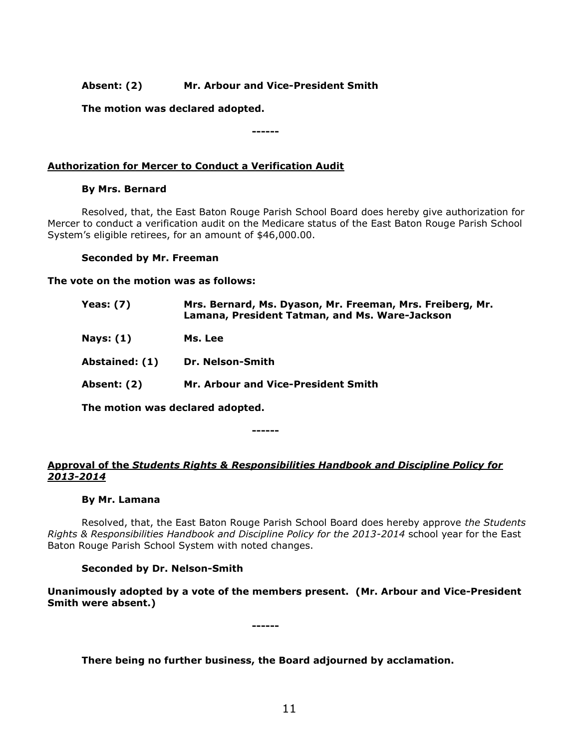# **Absent: (2) Mr. Arbour and Vice-President Smith**

**The motion was declared adopted.**

**------**

# **Authorization for Mercer to Conduct a Verification Audit**

# **By Mrs. Bernard**

Resolved, that, the East Baton Rouge Parish School Board does hereby give authorization for Mercer to conduct a verification audit on the Medicare status of the East Baton Rouge Parish School System's eligible retirees, for an amount of \$46,000.00.

# **Seconded by Mr. Freeman**

**The vote on the motion was as follows:**

| <b>Yeas: (7)</b> | Mrs. Bernard, Ms. Dyason, Mr. Freeman, Mrs. Freiberg, Mr.<br>Lamana, President Tatman, and Ms. Ware-Jackson |
|------------------|-------------------------------------------------------------------------------------------------------------|
| Nays: $(1)$      | Ms. Lee                                                                                                     |
| Abstained: (1)   | Dr. Nelson-Smith                                                                                            |
| Absent: (2)      | Mr. Arbour and Vice-President Smith                                                                         |
|                  | The motion was declared adopted                                                                             |

**The motion was declared adopted.**

**------**

# **Approval of the** *Students Rights & Responsibilities Handbook and Discipline Policy for 2013-2014*

# **By Mr. Lamana**

Resolved, that, the East Baton Rouge Parish School Board does hereby approve *the Students Rights & Responsibilities Handbook and Discipline Policy for the 2013-2014* school year for the East Baton Rouge Parish School System with noted changes.

# **Seconded by Dr. Nelson-Smith**

**Unanimously adopted by a vote of the members present. (Mr. Arbour and Vice-President Smith were absent.)**

**------**

# **There being no further business, the Board adjourned by acclamation.**